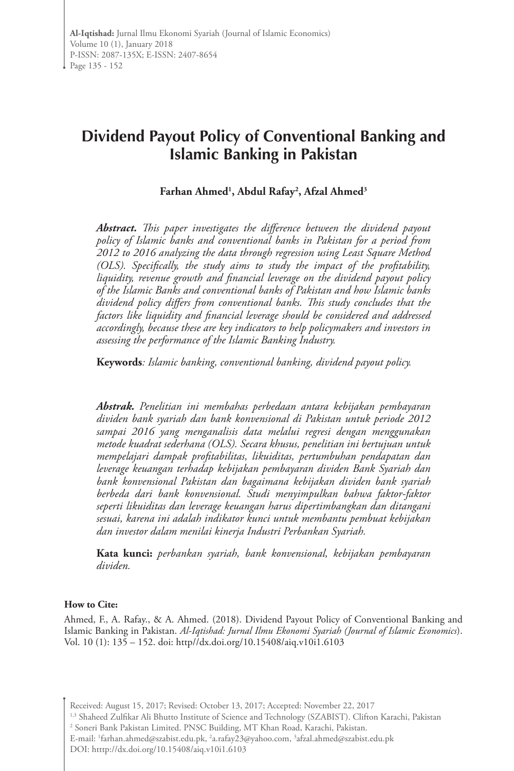# **Dividend Payout Policy of Conventional Banking and Islamic Banking in Pakistan**

### **Farhan Ahmed1 , Abdul Rafay2 , Afzal Ahmed3**

*Abstract. This paper investigates the difference between the dividend payout policy of Islamic banks and conventional banks in Pakistan for a period from 2012 to 2016 analyzing the data through regression using Least Square Method (OLS). Specifically, the study aims to study the impact of the profitability, liquidity, revenue growth and financial leverage on the dividend payout policy of the Islamic Banks and conventional banks of Pakistan and how Islamic banks dividend policy differs from conventional banks. This study concludes that the factors like liquidity and financial leverage should be considered and addressed accordingly, because these are key indicators to help policymakers and investors in assessing the performance of the Islamic Banking Industry.* 

**Keywords***: Islamic banking, conventional banking, dividend payout policy.*

*Abstrak. Penelitian ini membahas perbedaan antara kebijakan pembayaran dividen bank syariah dan bank konvensional di Pakistan untuk periode 2012 sampai 2016 yang menganalisis data melalui regresi dengan menggunakan metode kuadrat sederhana (OLS). Secara khusus, penelitian ini bertujuan untuk mempelajari dampak profitabilitas, likuiditas, pertumbuhan pendapatan dan leverage keuangan terhadap kebijakan pembayaran dividen Bank Syariah dan bank konvensional Pakistan dan bagaimana kebijakan dividen bank syariah berbeda dari bank konvensional. Studi menyimpulkan bahwa faktor-faktor seperti likuiditas dan leverage keuangan harus dipertimbangkan dan ditangani sesuai, karena ini adalah indikator kunci untuk membantu pembuat kebijakan dan investor dalam menilai kinerja Industri Perbankan Syariah.*

**Kata kunci:** *perbankan syariah, bank konvensional, kebijakan pembayaran dividen.*

#### **How to Cite:**

Ahmed, F., A. Rafay., & A. Ahmed. (2018). Dividend Payout Policy of Conventional Banking and Islamic Banking in Pakistan. *Al-Iqtishad: Jurnal Ilmu Ekonomi Syariah (Journal of Islamic Economics*). Vol. 10 (1): 135 – 152. doi: http//dx.doi.org/10.15408/aiq.v10i1.6103

Received: August 15, 2017; Revised: October 13, 2017; Accepted: November 22, 2017

1,3 Shaheed Zulfikar Ali Bhutto Institute of Science and Technology (SZABIST). Clifton Karachi, Pakistan 2 Soneri Bank Pakistan Limited. PNSC Building, MT Khan Road, Karachi, Pakistan.

E-mail: 1 farhan.ahmed@szabist.edu.pk, 2 a.rafay23@yahoo.com, 3 afzal.ahmed@szabist.edu.pk

DOI: htttp://dx.doi.org/10.15408/aiq.v10i1.6103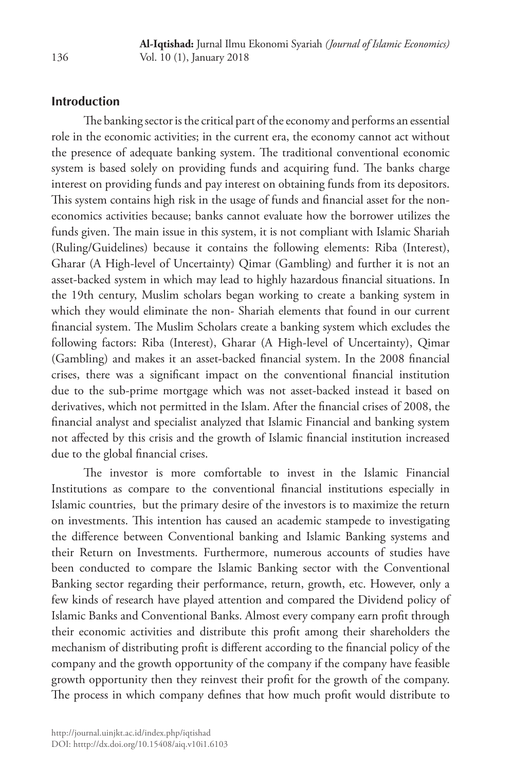## **Introduction**

The banking sector is the critical part of the economy and performs an essential role in the economic activities; in the current era, the economy cannot act without the presence of adequate banking system. The traditional conventional economic system is based solely on providing funds and acquiring fund. The banks charge interest on providing funds and pay interest on obtaining funds from its depositors. This system contains high risk in the usage of funds and financial asset for the noneconomics activities because; banks cannot evaluate how the borrower utilizes the funds given. The main issue in this system, it is not compliant with Islamic Shariah (Ruling/Guidelines) because it contains the following elements: Riba (Interest), Gharar (A High-level of Uncertainty) Qimar (Gambling) and further it is not an asset-backed system in which may lead to highly hazardous financial situations. In the 19th century, Muslim scholars began working to create a banking system in which they would eliminate the non- Shariah elements that found in our current financial system. The Muslim Scholars create a banking system which excludes the following factors: Riba (Interest), Gharar (A High-level of Uncertainty), Qimar (Gambling) and makes it an asset-backed financial system. In the 2008 financial crises, there was a significant impact on the conventional financial institution due to the sub-prime mortgage which was not asset-backed instead it based on derivatives, which not permitted in the Islam. After the financial crises of 2008, the financial analyst and specialist analyzed that Islamic Financial and banking system not affected by this crisis and the growth of Islamic financial institution increased due to the global financial crises.

The investor is more comfortable to invest in the Islamic Financial Institutions as compare to the conventional financial institutions especially in Islamic countries, but the primary desire of the investors is to maximize the return on investments. This intention has caused an academic stampede to investigating the difference between Conventional banking and Islamic Banking systems and their Return on Investments. Furthermore, numerous accounts of studies have been conducted to compare the Islamic Banking sector with the Conventional Banking sector regarding their performance, return, growth, etc. However, only a few kinds of research have played attention and compared the Dividend policy of Islamic Banks and Conventional Banks. Almost every company earn profit through their economic activities and distribute this profit among their shareholders the mechanism of distributing profit is different according to the financial policy of the company and the growth opportunity of the company if the company have feasible growth opportunity then they reinvest their profit for the growth of the company. The process in which company defines that how much profit would distribute to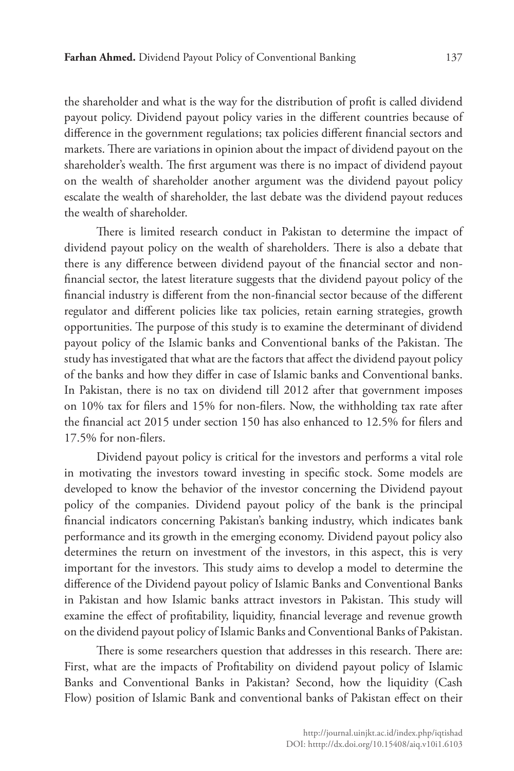the shareholder and what is the way for the distribution of profit is called dividend payout policy. Dividend payout policy varies in the different countries because of difference in the government regulations; tax policies different financial sectors and markets. There are variations in opinion about the impact of dividend payout on the shareholder's wealth. The first argument was there is no impact of dividend payout on the wealth of shareholder another argument was the dividend payout policy escalate the wealth of shareholder, the last debate was the dividend payout reduces the wealth of shareholder.

There is limited research conduct in Pakistan to determine the impact of dividend payout policy on the wealth of shareholders. There is also a debate that there is any difference between dividend payout of the financial sector and nonfinancial sector, the latest literature suggests that the dividend payout policy of the financial industry is different from the non-financial sector because of the different regulator and different policies like tax policies, retain earning strategies, growth opportunities. The purpose of this study is to examine the determinant of dividend payout policy of the Islamic banks and Conventional banks of the Pakistan. The study has investigated that what are the factors that affect the dividend payout policy of the banks and how they differ in case of Islamic banks and Conventional banks. In Pakistan, there is no tax on dividend till 2012 after that government imposes on 10% tax for filers and 15% for non-filers. Now, the withholding tax rate after the financial act 2015 under section 150 has also enhanced to 12.5% for filers and 17.5% for non-filers.

Dividend payout policy is critical for the investors and performs a vital role in motivating the investors toward investing in specific stock. Some models are developed to know the behavior of the investor concerning the Dividend payout policy of the companies. Dividend payout policy of the bank is the principal financial indicators concerning Pakistan's banking industry, which indicates bank performance and its growth in the emerging economy. Dividend payout policy also determines the return on investment of the investors, in this aspect, this is very important for the investors. This study aims to develop a model to determine the difference of the Dividend payout policy of Islamic Banks and Conventional Banks in Pakistan and how Islamic banks attract investors in Pakistan. This study will examine the effect of profitability, liquidity, financial leverage and revenue growth on the dividend payout policy of Islamic Banks and Conventional Banks of Pakistan.

There is some researchers question that addresses in this research. There are: First, what are the impacts of Profitability on dividend payout policy of Islamic Banks and Conventional Banks in Pakistan? Second, how the liquidity (Cash Flow) position of Islamic Bank and conventional banks of Pakistan effect on their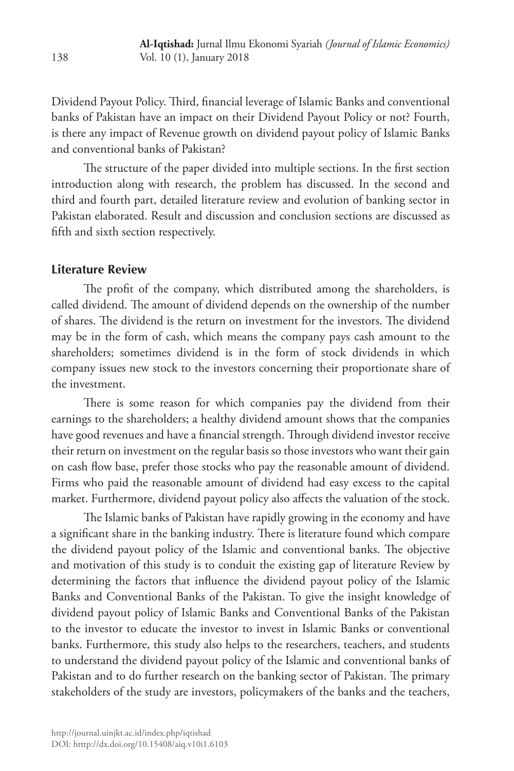Dividend Payout Policy. Third, financial leverage of Islamic Banks and conventional banks of Pakistan have an impact on their Dividend Payout Policy or not? Fourth, is there any impact of Revenue growth on dividend payout policy of Islamic Banks and conventional banks of Pakistan?

The structure of the paper divided into multiple sections. In the first section introduction along with research, the problem has discussed. In the second and third and fourth part, detailed literature review and evolution of banking sector in Pakistan elaborated. Result and discussion and conclusion sections are discussed as fifth and sixth section respectively.

#### **Literature Review**

The profit of the company, which distributed among the shareholders, is called dividend. The amount of dividend depends on the ownership of the number of shares. The dividend is the return on investment for the investors. The dividend may be in the form of cash, which means the company pays cash amount to the shareholders; sometimes dividend is in the form of stock dividends in which company issues new stock to the investors concerning their proportionate share of the investment.

There is some reason for which companies pay the dividend from their earnings to the shareholders; a healthy dividend amount shows that the companies have good revenues and have a financial strength. Through dividend investor receive their return on investment on the regular basis so those investors who want their gain on cash flow base, prefer those stocks who pay the reasonable amount of dividend. Firms who paid the reasonable amount of dividend had easy excess to the capital market. Furthermore, dividend payout policy also affects the valuation of the stock.

The Islamic banks of Pakistan have rapidly growing in the economy and have a significant share in the banking industry. There is literature found which compare the dividend payout policy of the Islamic and conventional banks. The objective and motivation of this study is to conduit the existing gap of literature Review by determining the factors that influence the dividend payout policy of the Islamic Banks and Conventional Banks of the Pakistan. To give the insight knowledge of dividend payout policy of Islamic Banks and Conventional Banks of the Pakistan to the investor to educate the investor to invest in Islamic Banks or conventional banks. Furthermore, this study also helps to the researchers, teachers, and students to understand the dividend payout policy of the Islamic and conventional banks of Pakistan and to do further research on the banking sector of Pakistan. The primary stakeholders of the study are investors, policymakers of the banks and the teachers,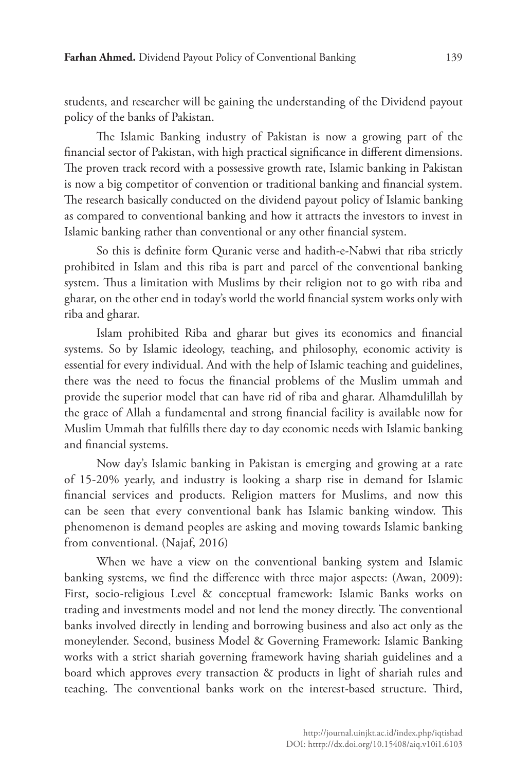students, and researcher will be gaining the understanding of the Dividend payout policy of the banks of Pakistan.

The Islamic Banking industry of Pakistan is now a growing part of the financial sector of Pakistan, with high practical significance in different dimensions. The proven track record with a possessive growth rate, Islamic banking in Pakistan is now a big competitor of convention or traditional banking and financial system. The research basically conducted on the dividend payout policy of Islamic banking as compared to conventional banking and how it attracts the investors to invest in Islamic banking rather than conventional or any other financial system.

So this is definite form Quranic verse and hadith-e-Nabwi that riba strictly prohibited in Islam and this riba is part and parcel of the conventional banking system. Thus a limitation with Muslims by their religion not to go with riba and gharar, on the other end in today's world the world financial system works only with riba and gharar.

Islam prohibited Riba and gharar but gives its economics and financial systems. So by Islamic ideology, teaching, and philosophy, economic activity is essential for every individual. And with the help of Islamic teaching and guidelines, there was the need to focus the financial problems of the Muslim ummah and provide the superior model that can have rid of riba and gharar. Alhamdulillah by the grace of Allah a fundamental and strong financial facility is available now for Muslim Ummah that fulfills there day to day economic needs with Islamic banking and financial systems.

Now day's Islamic banking in Pakistan is emerging and growing at a rate of 15-20% yearly, and industry is looking a sharp rise in demand for Islamic financial services and products. Religion matters for Muslims, and now this can be seen that every conventional bank has Islamic banking window. This phenomenon is demand peoples are asking and moving towards Islamic banking from conventional. (Najaf, 2016)

When we have a view on the conventional banking system and Islamic banking systems, we find the difference with three major aspects: (Awan, 2009): First, socio-religious Level & conceptual framework: Islamic Banks works on trading and investments model and not lend the money directly. The conventional banks involved directly in lending and borrowing business and also act only as the moneylender. Second, business Model & Governing Framework: Islamic Banking works with a strict shariah governing framework having shariah guidelines and a board which approves every transaction & products in light of shariah rules and teaching. The conventional banks work on the interest-based structure. Third,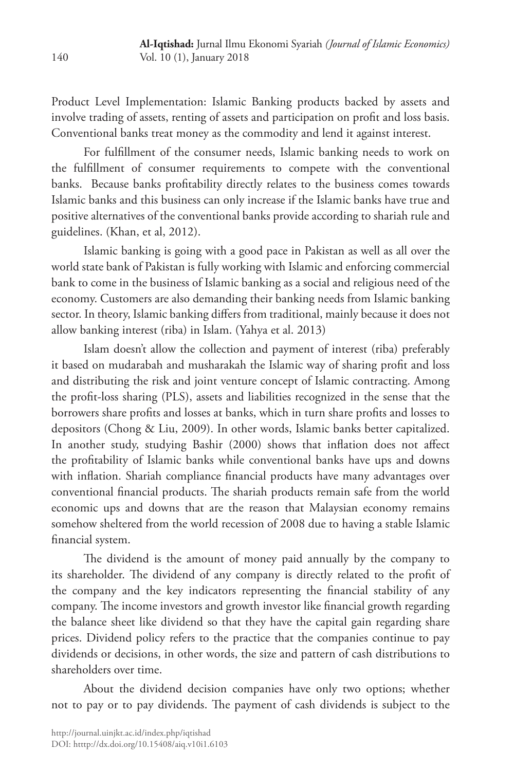Product Level Implementation: Islamic Banking products backed by assets and involve trading of assets, renting of assets and participation on profit and loss basis. Conventional banks treat money as the commodity and lend it against interest.

For fulfillment of the consumer needs, Islamic banking needs to work on the fulfillment of consumer requirements to compete with the conventional banks. Because banks profitability directly relates to the business comes towards Islamic banks and this business can only increase if the Islamic banks have true and positive alternatives of the conventional banks provide according to shariah rule and guidelines. (Khan, et al, 2012).

Islamic banking is going with a good pace in Pakistan as well as all over the world state bank of Pakistan is fully working with Islamic and enforcing commercial bank to come in the business of Islamic banking as a social and religious need of the economy. Customers are also demanding their banking needs from Islamic banking sector. In theory, Islamic banking differs from traditional, mainly because it does not allow banking interest (riba) in Islam. (Yahya et al. 2013)

Islam doesn't allow the collection and payment of interest (riba) preferably it based on mudarabah and musharakah the Islamic way of sharing profit and loss and distributing the risk and joint venture concept of Islamic contracting. Among the profit-loss sharing (PLS), assets and liabilities recognized in the sense that the borrowers share profits and losses at banks, which in turn share profits and losses to depositors (Chong & Liu, 2009). In other words, Islamic banks better capitalized. In another study, studying Bashir (2000) shows that inflation does not affect the profitability of Islamic banks while conventional banks have ups and downs with inflation. Shariah compliance financial products have many advantages over conventional financial products. The shariah products remain safe from the world economic ups and downs that are the reason that Malaysian economy remains somehow sheltered from the world recession of 2008 due to having a stable Islamic financial system.

The dividend is the amount of money paid annually by the company to its shareholder. The dividend of any company is directly related to the profit of the company and the key indicators representing the financial stability of any company. The income investors and growth investor like financial growth regarding the balance sheet like dividend so that they have the capital gain regarding share prices. Dividend policy refers to the practice that the companies continue to pay dividends or decisions, in other words, the size and pattern of cash distributions to shareholders over time.

About the dividend decision companies have only two options; whether not to pay or to pay dividends. The payment of cash dividends is subject to the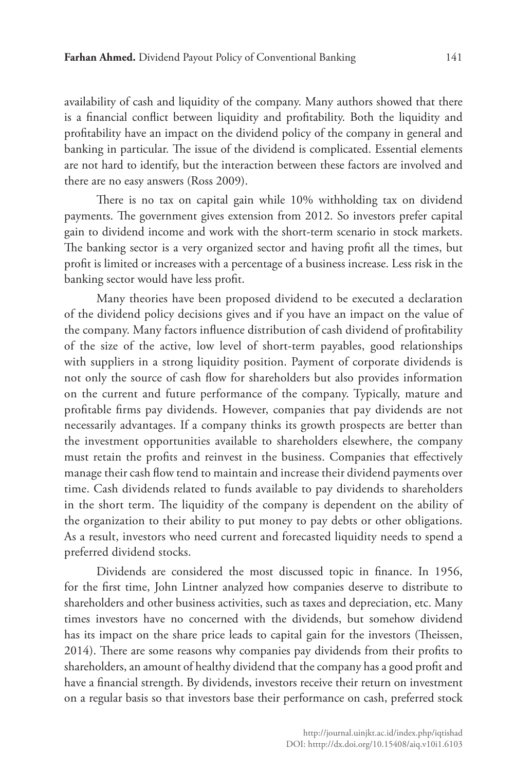availability of cash and liquidity of the company. Many authors showed that there is a financial conflict between liquidity and profitability. Both the liquidity and profitability have an impact on the dividend policy of the company in general and banking in particular. The issue of the dividend is complicated. Essential elements are not hard to identify, but the interaction between these factors are involved and there are no easy answers (Ross 2009).

There is no tax on capital gain while 10% withholding tax on dividend payments. The government gives extension from 2012. So investors prefer capital gain to dividend income and work with the short-term scenario in stock markets. The banking sector is a very organized sector and having profit all the times, but profit is limited or increases with a percentage of a business increase. Less risk in the banking sector would have less profit.

Many theories have been proposed dividend to be executed a declaration of the dividend policy decisions gives and if you have an impact on the value of the company. Many factors influence distribution of cash dividend of profitability of the size of the active, low level of short-term payables, good relationships with suppliers in a strong liquidity position. Payment of corporate dividends is not only the source of cash flow for shareholders but also provides information on the current and future performance of the company. Typically, mature and profitable firms pay dividends. However, companies that pay dividends are not necessarily advantages. If a company thinks its growth prospects are better than the investment opportunities available to shareholders elsewhere, the company must retain the profits and reinvest in the business. Companies that effectively manage their cash flow tend to maintain and increase their dividend payments over time. Cash dividends related to funds available to pay dividends to shareholders in the short term. The liquidity of the company is dependent on the ability of the organization to their ability to put money to pay debts or other obligations. As a result, investors who need current and forecasted liquidity needs to spend a preferred dividend stocks.

Dividends are considered the most discussed topic in finance. In 1956, for the first time, John Lintner analyzed how companies deserve to distribute to shareholders and other business activities, such as taxes and depreciation, etc. Many times investors have no concerned with the dividends, but somehow dividend has its impact on the share price leads to capital gain for the investors (Theissen, 2014). There are some reasons why companies pay dividends from their profits to shareholders, an amount of healthy dividend that the company has a good profit and have a financial strength. By dividends, investors receive their return on investment on a regular basis so that investors base their performance on cash, preferred stock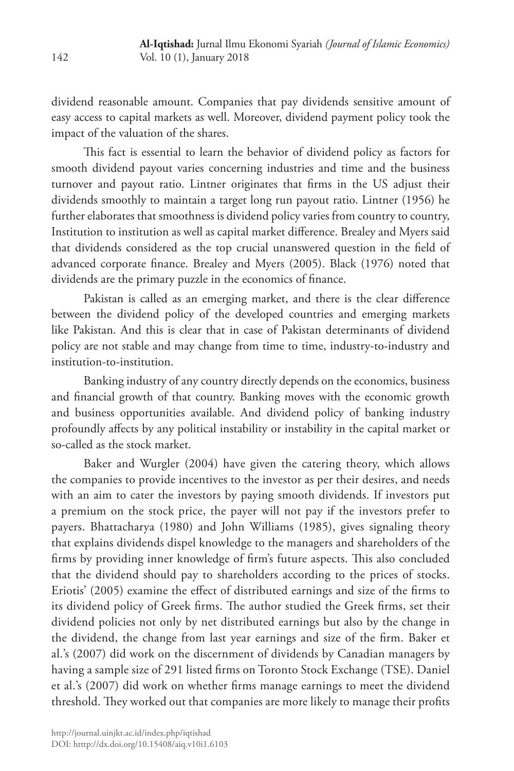dividend reasonable amount. Companies that pay dividends sensitive amount of easy access to capital markets as well. Moreover, dividend payment policy took the impact of the valuation of the shares.

This fact is essential to learn the behavior of dividend policy as factors for smooth dividend payout varies concerning industries and time and the business turnover and payout ratio. Lintner originates that firms in the US adjust their dividends smoothly to maintain a target long run payout ratio. Lintner (1956) he further elaborates that smoothness is dividend policy varies from country to country, Institution to institution as well as capital market difference. Brealey and Myers said that dividends considered as the top crucial unanswered question in the field of advanced corporate finance. Brealey and Myers (2005). Black (1976) noted that dividends are the primary puzzle in the economics of finance.

Pakistan is called as an emerging market, and there is the clear difference between the dividend policy of the developed countries and emerging markets like Pakistan. And this is clear that in case of Pakistan determinants of dividend policy are not stable and may change from time to time, industry-to-industry and institution-to-institution.

Banking industry of any country directly depends on the economics, business and financial growth of that country. Banking moves with the economic growth and business opportunities available. And dividend policy of banking industry profoundly affects by any political instability or instability in the capital market or so-called as the stock market.

Baker and Wurgler (2004) have given the catering theory, which allows the companies to provide incentives to the investor as per their desires, and needs with an aim to cater the investors by paying smooth dividends. If investors put a premium on the stock price, the payer will not pay if the investors prefer to payers. Bhattacharya (1980) and John Williams (1985), gives signaling theory that explains dividends dispel knowledge to the managers and shareholders of the firms by providing inner knowledge of firm's future aspects. This also concluded that the dividend should pay to shareholders according to the prices of stocks. Eriotis' (2005) examine the effect of distributed earnings and size of the firms to its dividend policy of Greek firms. The author studied the Greek firms, set their dividend policies not only by net distributed earnings but also by the change in the dividend, the change from last year earnings and size of the firm. Baker et al.'s (2007) did work on the discernment of dividends by Canadian managers by having a sample size of 291 listed firms on Toronto Stock Exchange (TSE). Daniel et al.'s (2007) did work on whether firms manage earnings to meet the dividend threshold. They worked out that companies are more likely to manage their profits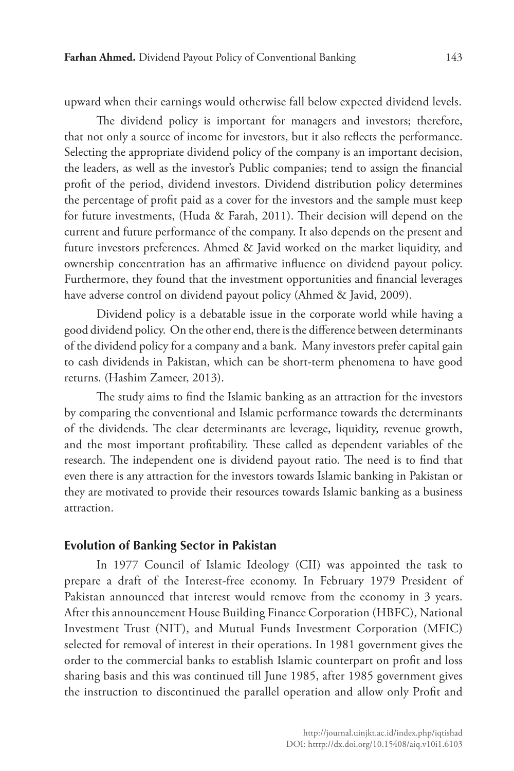upward when their earnings would otherwise fall below expected dividend levels.

The dividend policy is important for managers and investors; therefore, that not only a source of income for investors, but it also reflects the performance. Selecting the appropriate dividend policy of the company is an important decision, the leaders, as well as the investor's Public companies; tend to assign the financial profit of the period, dividend investors. Dividend distribution policy determines the percentage of profit paid as a cover for the investors and the sample must keep for future investments, (Huda & Farah, 2011). Their decision will depend on the current and future performance of the company. It also depends on the present and future investors preferences. Ahmed & Javid worked on the market liquidity, and ownership concentration has an affirmative influence on dividend payout policy. Furthermore, they found that the investment opportunities and financial leverages have adverse control on dividend payout policy (Ahmed & Javid, 2009).

Dividend policy is a debatable issue in the corporate world while having a good dividend policy. On the other end, there is the difference between determinants of the dividend policy for a company and a bank. Many investors prefer capital gain to cash dividends in Pakistan, which can be short-term phenomena to have good returns. (Hashim Zameer, 2013).

The study aims to find the Islamic banking as an attraction for the investors by comparing the conventional and Islamic performance towards the determinants of the dividends. The clear determinants are leverage, liquidity, revenue growth, and the most important profitability. These called as dependent variables of the research. The independent one is dividend payout ratio. The need is to find that even there is any attraction for the investors towards Islamic banking in Pakistan or they are motivated to provide their resources towards Islamic banking as a business attraction.

#### **Evolution of Banking Sector in Pakistan**

In 1977 Council of Islamic Ideology (CII) was appointed the task to prepare a draft of the Interest-free economy. In February 1979 President of Pakistan announced that interest would remove from the economy in 3 years. After this announcement House Building Finance Corporation (HBFC), National Investment Trust (NIT), and Mutual Funds Investment Corporation (MFIC) selected for removal of interest in their operations. In 1981 government gives the order to the commercial banks to establish Islamic counterpart on profit and loss sharing basis and this was continued till June 1985, after 1985 government gives the instruction to discontinued the parallel operation and allow only Profit and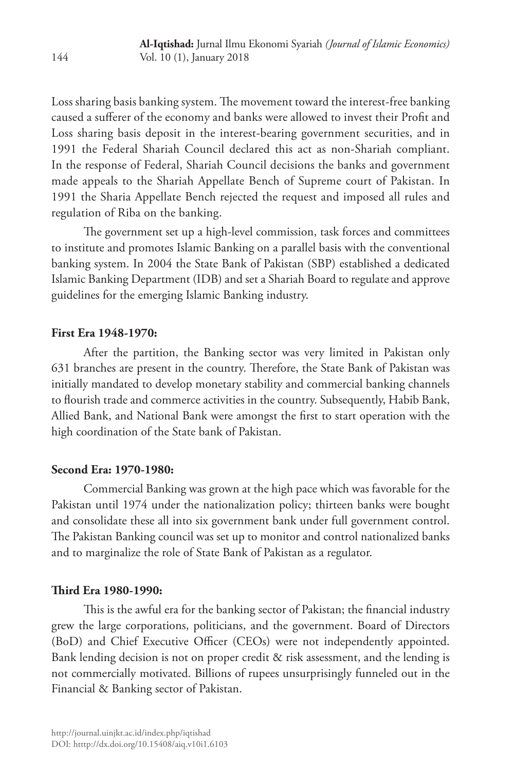Loss sharing basis banking system. The movement toward the interest-free banking caused a sufferer of the economy and banks were allowed to invest their Profit and Loss sharing basis deposit in the interest-bearing government securities, and in 1991 the Federal Shariah Council declared this act as non-Shariah compliant. In the response of Federal, Shariah Council decisions the banks and government made appeals to the Shariah Appellate Bench of Supreme court of Pakistan. In 1991 the Sharia Appellate Bench rejected the request and imposed all rules and regulation of Riba on the banking.

The government set up a high-level commission, task forces and committees to institute and promotes Islamic Banking on a parallel basis with the conventional banking system. In 2004 the State Bank of Pakistan (SBP) established a dedicated Islamic Banking Department (IDB) and set a Shariah Board to regulate and approve guidelines for the emerging Islamic Banking industry.

### **First Era 1948-1970:**

After the partition, the Banking sector was very limited in Pakistan only 631 branches are present in the country. Therefore, the State Bank of Pakistan was initially mandated to develop monetary stability and commercial banking channels to flourish trade and commerce activities in the country. Subsequently, Habib Bank, Allied Bank, and National Bank were amongst the first to start operation with the high coordination of the State bank of Pakistan.

### **Second Era: 1970-1980:**

Commercial Banking was grown at the high pace which was favorable for the Pakistan until 1974 under the nationalization policy; thirteen banks were bought and consolidate these all into six government bank under full government control. The Pakistan Banking council was set up to monitor and control nationalized banks and to marginalize the role of State Bank of Pakistan as a regulator.

### **Third Era 1980-1990:**

This is the awful era for the banking sector of Pakistan; the financial industry grew the large corporations, politicians, and the government. Board of Directors (BoD) and Chief Executive Officer (CEOs) were not independently appointed. Bank lending decision is not on proper credit & risk assessment, and the lending is not commercially motivated. Billions of rupees unsurprisingly funneled out in the Financial & Banking sector of Pakistan.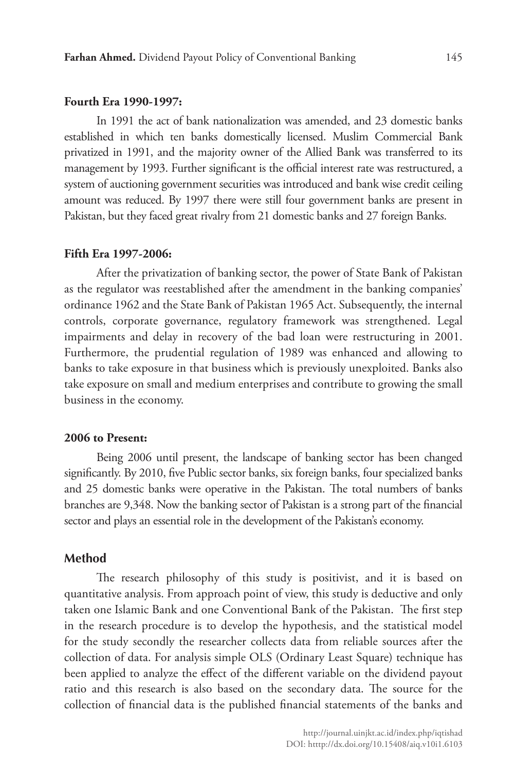#### **Fourth Era 1990-1997:**

In 1991 the act of bank nationalization was amended, and 23 domestic banks established in which ten banks domestically licensed. Muslim Commercial Bank privatized in 1991, and the majority owner of the Allied Bank was transferred to its management by 1993. Further significant is the official interest rate was restructured, a system of auctioning government securities was introduced and bank wise credit ceiling amount was reduced. By 1997 there were still four government banks are present in Pakistan, but they faced great rivalry from 21 domestic banks and 27 foreign Banks.

#### **Fifth Era 1997-2006:**

After the privatization of banking sector, the power of State Bank of Pakistan as the regulator was reestablished after the amendment in the banking companies' ordinance 1962 and the State Bank of Pakistan 1965 Act. Subsequently, the internal controls, corporate governance, regulatory framework was strengthened. Legal impairments and delay in recovery of the bad loan were restructuring in 2001. Furthermore, the prudential regulation of 1989 was enhanced and allowing to banks to take exposure in that business which is previously unexploited. Banks also take exposure on small and medium enterprises and contribute to growing the small business in the economy.

#### **2006 to Present:**

Being 2006 until present, the landscape of banking sector has been changed significantly. By 2010, five Public sector banks, six foreign banks, four specialized banks and 25 domestic banks were operative in the Pakistan. The total numbers of banks branches are 9,348. Now the banking sector of Pakistan is a strong part of the financial sector and plays an essential role in the development of the Pakistan's economy.

#### **Method**

The research philosophy of this study is positivist, and it is based on quantitative analysis. From approach point of view, this study is deductive and only taken one Islamic Bank and one Conventional Bank of the Pakistan. The first step in the research procedure is to develop the hypothesis, and the statistical model for the study secondly the researcher collects data from reliable sources after the collection of data. For analysis simple OLS (Ordinary Least Square) technique has been applied to analyze the effect of the different variable on the dividend payout ratio and this research is also based on the secondary data. The source for the collection of financial data is the published financial statements of the banks and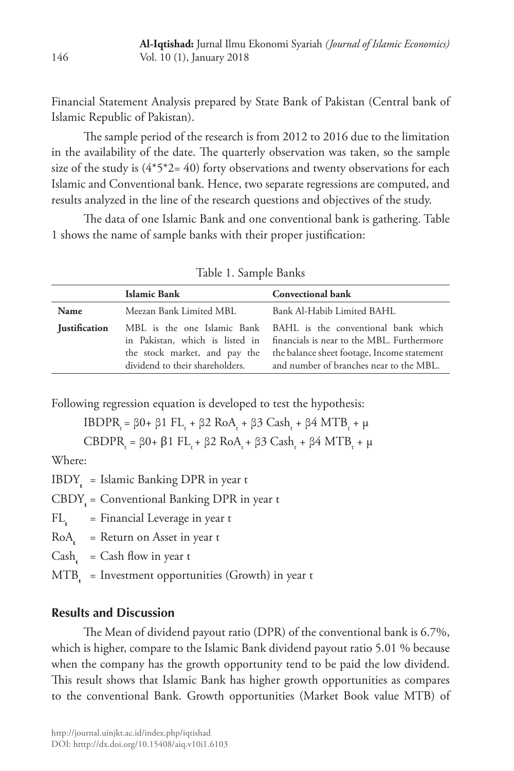Financial Statement Analysis prepared by State Bank of Pakistan (Central bank of Islamic Republic of Pakistan).

The sample period of the research is from 2012 to 2016 due to the limitation in the availability of the date. The quarterly observation was taken, so the sample size of the study is  $(4^*5^*2=40)$  forty observations and twenty observations for each Islamic and Conventional bank. Hence, two separate regressions are computed, and results analyzed in the line of the research questions and objectives of the study.

The data of one Islamic Bank and one conventional bank is gathering. Table 1 shows the name of sample banks with their proper justification:

|                      | <b>Islamic Bank</b>             | <b>Convectional bank</b>                                                                                                                                                                                                                                              |  |  |
|----------------------|---------------------------------|-----------------------------------------------------------------------------------------------------------------------------------------------------------------------------------------------------------------------------------------------------------------------|--|--|
| Name                 | Meezan Bank Limited MBL         | Bank Al-Habib Limited BAHL                                                                                                                                                                                                                                            |  |  |
| <b>Iustification</b> | dividend to their shareholders. | MBL is the one Islamic Bank BAHL is the conventional bank which<br>in Pakistan, which is listed in financials is near to the MBL. Furthermore<br>the stock market, and pay the the balance sheet footage, Income statement<br>and number of branches near to the MBL. |  |  |

Table 1. Sample Banks

Following regression equation is developed to test the hypothesis:

IBDPR<sub>t</sub> = β0+ β1 FL<sub>t</sub> + β2 RoA<sub>t</sub> + β3 Cash<sub>t</sub> + β4 MTB<sub>t</sub> + μ

CBDPRt = β0+ β1 FLt + β2 RoAt + β3 Casht + β4 MTBt + µ

Where:

 $IBDY<sub>t</sub> = Islamic Banking DPR in year t$ 

CBDY**<sup>t</sup>** = Conventional Banking DPR in year t

FL<sub>t</sub> = Financial Leverage in year t

RoA**t** = Return on Asset in year t

 $Cash = Cash flow in year t$ 

MTB<sub>t</sub> = Investment opportunities (Growth) in year t

# **Results and Discussion**

The Mean of dividend payout ratio (DPR) of the conventional bank is 6.7%, which is higher, compare to the Islamic Bank dividend payout ratio 5.01 % because when the company has the growth opportunity tend to be paid the low dividend. This result shows that Islamic Bank has higher growth opportunities as compares to the conventional Bank. Growth opportunities (Market Book value MTB) of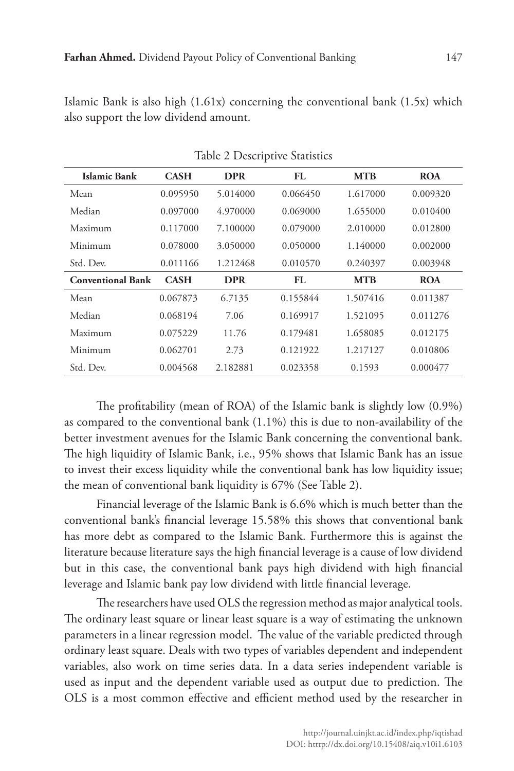Islamic Bank is also high (1.61x) concerning the conventional bank (1.5x) which also support the low dividend amount.

| Islamic Bank             | <b>CASH</b> | <b>DPR</b> | FL       | <b>MTB</b> | <b>ROA</b> |
|--------------------------|-------------|------------|----------|------------|------------|
| Mean                     | 0.095950    | 5.014000   | 0.066450 | 1.617000   | 0.009320   |
| Median                   | 0.097000    | 4.970000   | 0.069000 | 1.655000   | 0.010400   |
| Maximum                  | 0.117000    | 7.100000   | 0.079000 | 2.010000   | 0.012800   |
| Minimum                  | 0.078000    | 3.050000   | 0.050000 | 1.140000   | 0.002000   |
| Std. Dev.                | 0.011166    | 1.212468   | 0.010570 | 0.240397   | 0.003948   |
| <b>Conventional Bank</b> | <b>CASH</b> | <b>DPR</b> | FL       | <b>MTB</b> | <b>ROA</b> |
| Mean                     | 0.067873    | 6.7135     | 0.155844 | 1.507416   | 0.011387   |
| Median                   | 0.068194    | 7.06       | 0.169917 | 1.521095   | 0.011276   |
| Maximum                  | 0.075229    | 11.76      | 0.179481 | 1.658085   | 0.012175   |
| Minimum                  | 0.062701    | 2.73       | 0.121922 | 1.217127   | 0.010806   |
| Std. Dev.                | 0.004568    | 2.182881   | 0.023358 | 0.1593     | 0.000477   |

Table 2 Descriptive Statistics

The profitability (mean of ROA) of the Islamic bank is slightly low (0.9%) as compared to the conventional bank (1.1%) this is due to non-availability of the better investment avenues for the Islamic Bank concerning the conventional bank. The high liquidity of Islamic Bank, i.e., 95% shows that Islamic Bank has an issue to invest their excess liquidity while the conventional bank has low liquidity issue; the mean of conventional bank liquidity is 67% (See Table 2).

Financial leverage of the Islamic Bank is 6.6% which is much better than the conventional bank's financial leverage 15.58% this shows that conventional bank has more debt as compared to the Islamic Bank. Furthermore this is against the literature because literature says the high financial leverage is a cause of low dividend but in this case, the conventional bank pays high dividend with high financial leverage and Islamic bank pay low dividend with little financial leverage.

The researchers have used OLS the regression method as major analytical tools. The ordinary least square or linear least square is a way of estimating the unknown parameters in a linear regression model. The value of the variable predicted through ordinary least square. Deals with two types of variables dependent and independent variables, also work on time series data. In a data series independent variable is used as input and the dependent variable used as output due to prediction. The OLS is a most common effective and efficient method used by the researcher in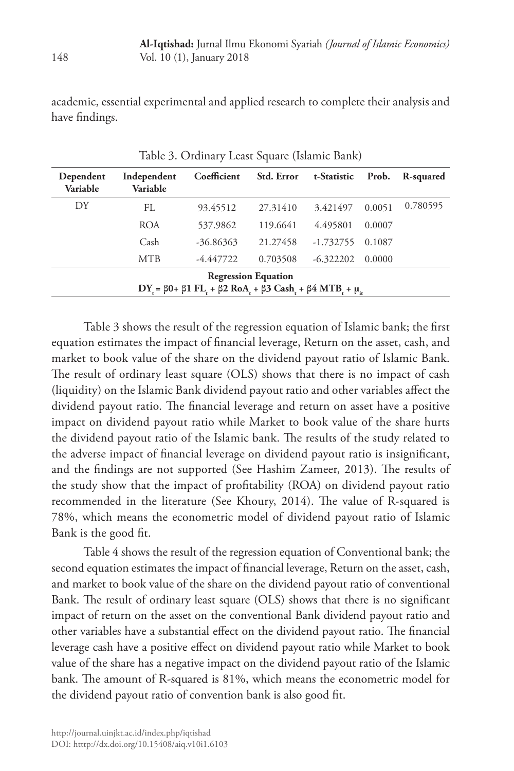academic, essential experimental and applied research to complete their analysis and have findings.

| Dependent<br>Variable                                                                      | Independent<br>Variable | Coefficient | Std. Error | t-Statistic | Prob.  | R-squared |
|--------------------------------------------------------------------------------------------|-------------------------|-------------|------------|-------------|--------|-----------|
| DY                                                                                         | FL                      | 93.45512    | 27.31410   | 3.421497    | 0.0051 | 0.780595  |
|                                                                                            | <b>ROA</b>              | 537.9862    | 119.6641   | 4.495801    | 0.0007 |           |
|                                                                                            | Cash                    | $-36.86363$ | 21.27458   | $-1.732755$ | 0.1087 |           |
|                                                                                            | <b>MTB</b>              | $-4.447722$ | 0.703508   | $-6.322202$ | 0.0000 |           |
| <b>Regression Equation</b>                                                                 |                         |             |            |             |        |           |
| DY = $\beta$ 0+ $\beta$ 1 FL + $\beta$ 2 RoA + $\beta$ 3 Cash + $\beta$ 4 MTB + $\mu_{ir}$ |                         |             |            |             |        |           |

Table 3. Ordinary Least Square (Islamic Bank)

Table 3 shows the result of the regression equation of Islamic bank; the first equation estimates the impact of financial leverage, Return on the asset, cash, and market to book value of the share on the dividend payout ratio of Islamic Bank. The result of ordinary least square (OLS) shows that there is no impact of cash (liquidity) on the Islamic Bank dividend payout ratio and other variables affect the dividend payout ratio. The financial leverage and return on asset have a positive impact on dividend payout ratio while Market to book value of the share hurts the dividend payout ratio of the Islamic bank. The results of the study related to the adverse impact of financial leverage on dividend payout ratio is insignificant, and the findings are not supported (See Hashim Zameer, 2013). The results of the study show that the impact of profitability (ROA) on dividend payout ratio recommended in the literature (See Khoury, 2014). The value of R-squared is 78%, which means the econometric model of dividend payout ratio of Islamic Bank is the good fit.

Table 4 shows the result of the regression equation of Conventional bank; the second equation estimates the impact of financial leverage, Return on the asset, cash, and market to book value of the share on the dividend payout ratio of conventional Bank. The result of ordinary least square (OLS) shows that there is no significant impact of return on the asset on the conventional Bank dividend payout ratio and other variables have a substantial effect on the dividend payout ratio. The financial leverage cash have a positive effect on dividend payout ratio while Market to book value of the share has a negative impact on the dividend payout ratio of the Islamic bank. The amount of R-squared is 81%, which means the econometric model for the dividend payout ratio of convention bank is also good fit.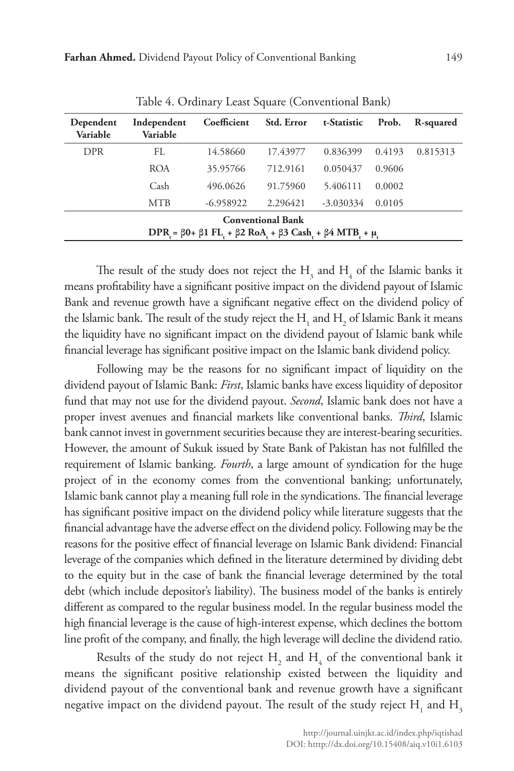| Dependent<br>Variable                                                                  | Independent<br>Variable | Coefficient | Std. Error | t-Statistic | Prob.  | R-squared |
|----------------------------------------------------------------------------------------|-------------------------|-------------|------------|-------------|--------|-----------|
| <b>DPR</b>                                                                             | FL.                     | 14.58660    | 17.43977   | 0.836399    | 0.4193 | 0.815313  |
|                                                                                        | <b>ROA</b>              | 35.95766    | 712.9161   | 0.050437    | 0.9606 |           |
|                                                                                        | Cash                    | 496.0626    | 91.75960   | 5.406111    | 0.0002 |           |
|                                                                                        | <b>MTB</b>              | $-6.958922$ | 2.296421   | $-3.030334$ | 0.0105 |           |
| <b>Conventional Bank</b>                                                               |                         |             |            |             |        |           |
| DPR = $\beta$ 0+ $\beta$ 1 FL + $\beta$ 2 RoA + $\beta$ 3 Cash + $\beta$ 4 MTB + $\mu$ |                         |             |            |             |        |           |

Table 4. Ordinary Least Square (Conventional Bank)

The result of the study does not reject the  $H_3$  and  $H_4$  of the Islamic banks it means profitability have a significant positive impact on the dividend payout of Islamic Bank and revenue growth have a significant negative effect on the dividend policy of the Islamic bank. The result of the study reject the  $\mathrm{H_{_1}}$  and  $\mathrm{H_{_2}}$  of Islamic Bank it means the liquidity have no significant impact on the dividend payout of Islamic bank while financial leverage has significant positive impact on the Islamic bank dividend policy.

Following may be the reasons for no significant impact of liquidity on the dividend payout of Islamic Bank: *First*, Islamic banks have excess liquidity of depositor fund that may not use for the dividend payout. *Second*, Islamic bank does not have a proper invest avenues and financial markets like conventional banks. *Third*, Islamic bank cannot invest in government securities because they are interest-bearing securities. However, the amount of Sukuk issued by State Bank of Pakistan has not fulfilled the requirement of Islamic banking. *Fourth*, a large amount of syndication for the huge project of in the economy comes from the conventional banking; unfortunately, Islamic bank cannot play a meaning full role in the syndications. The financial leverage has significant positive impact on the dividend policy while literature suggests that the financial advantage have the adverse effect on the dividend policy. Following may be the reasons for the positive effect of financial leverage on Islamic Bank dividend: Financial leverage of the companies which defined in the literature determined by dividing debt to the equity but in the case of bank the financial leverage determined by the total debt (which include depositor's liability). The business model of the banks is entirely different as compared to the regular business model. In the regular business model the high financial leverage is the cause of high-interest expense, which declines the bottom line profit of the company, and finally, the high leverage will decline the dividend ratio.

Results of the study do not reject  $H_2$  and  $H_4$  of the conventional bank it means the significant positive relationship existed between the liquidity and dividend payout of the conventional bank and revenue growth have a significant negative impact on the dividend payout. The result of the study reject  $\mathrm{H}_{_{1}}$  and  $\mathrm{H}_{_{3}}$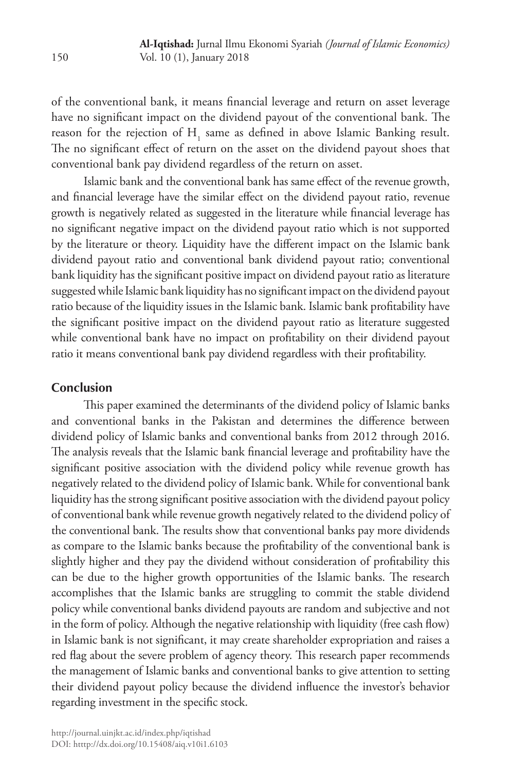of the conventional bank, it means financial leverage and return on asset leverage have no significant impact on the dividend payout of the conventional bank. The reason for the rejection of  $H<sub>1</sub>$  same as defined in above Islamic Banking result. The no significant effect of return on the asset on the dividend payout shoes that conventional bank pay dividend regardless of the return on asset.

Islamic bank and the conventional bank has same effect of the revenue growth, and financial leverage have the similar effect on the dividend payout ratio, revenue growth is negatively related as suggested in the literature while financial leverage has no significant negative impact on the dividend payout ratio which is not supported by the literature or theory. Liquidity have the different impact on the Islamic bank dividend payout ratio and conventional bank dividend payout ratio; conventional bank liquidity has the significant positive impact on dividend payout ratio as literature suggested while Islamic bank liquidity has no significant impact on the dividend payout ratio because of the liquidity issues in the Islamic bank. Islamic bank profitability have the significant positive impact on the dividend payout ratio as literature suggested while conventional bank have no impact on profitability on their dividend payout ratio it means conventional bank pay dividend regardless with their profitability.

### **Conclusion**

This paper examined the determinants of the dividend policy of Islamic banks and conventional banks in the Pakistan and determines the difference between dividend policy of Islamic banks and conventional banks from 2012 through 2016. The analysis reveals that the Islamic bank financial leverage and profitability have the significant positive association with the dividend policy while revenue growth has negatively related to the dividend policy of Islamic bank. While for conventional bank liquidity has the strong significant positive association with the dividend payout policy of conventional bank while revenue growth negatively related to the dividend policy of the conventional bank. The results show that conventional banks pay more dividends as compare to the Islamic banks because the profitability of the conventional bank is slightly higher and they pay the dividend without consideration of profitability this can be due to the higher growth opportunities of the Islamic banks. The research accomplishes that the Islamic banks are struggling to commit the stable dividend policy while conventional banks dividend payouts are random and subjective and not in the form of policy. Although the negative relationship with liquidity (free cash flow) in Islamic bank is not significant, it may create shareholder expropriation and raises a red flag about the severe problem of agency theory. This research paper recommends the management of Islamic banks and conventional banks to give attention to setting their dividend payout policy because the dividend influence the investor's behavior regarding investment in the specific stock.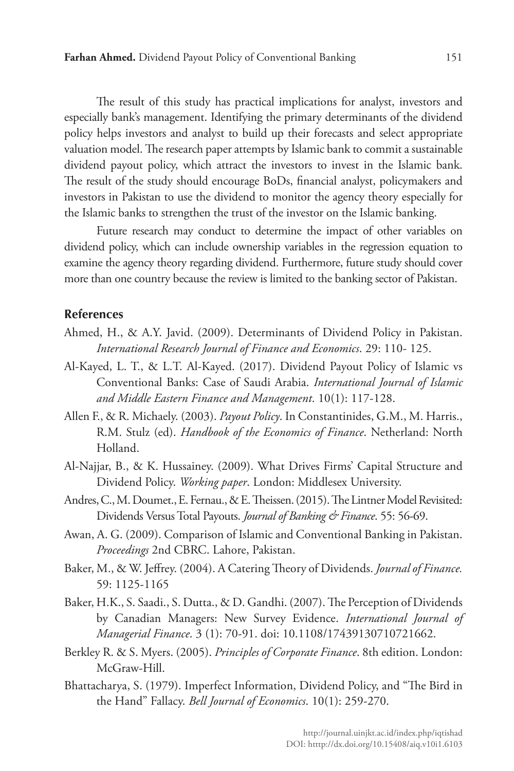The result of this study has practical implications for analyst, investors and especially bank's management. Identifying the primary determinants of the dividend policy helps investors and analyst to build up their forecasts and select appropriate valuation model. The research paper attempts by Islamic bank to commit a sustainable dividend payout policy, which attract the investors to invest in the Islamic bank. The result of the study should encourage BoDs, financial analyst, policymakers and investors in Pakistan to use the dividend to monitor the agency theory especially for the Islamic banks to strengthen the trust of the investor on the Islamic banking.

Future research may conduct to determine the impact of other variables on dividend policy, which can include ownership variables in the regression equation to examine the agency theory regarding dividend. Furthermore, future study should cover more than one country because the review is limited to the banking sector of Pakistan.

#### **References**

- Ahmed, H., & A.Y. Javid. (2009). Determinants of Dividend Policy in Pakistan. *International Research Journal of Finance and Economics*. 29: 110- 125.
- Al-Kayed, L. T., & L.T. Al-Kayed. (2017). Dividend Payout Policy of Islamic vs Conventional Banks: Case of Saudi Arabia. *International Journal of Islamic and Middle Eastern Finance and Management*. 10(1): 117-128.
- Allen F., & R. Michaely. (2003). *Payout Policy*. In Constantinides, G.M., M. Harris., R.M. Stulz (ed). *Handbook of the Economics of Finance*. Netherland: North Holland.
- Al-Najjar, B., & K. Hussainey. (2009). What Drives Firms' Capital Structure and Dividend Policy. *Working paper*. London: Middlesex University.
- Andres, C., M. Doumet., E. Fernau., & E. Theissen. (2015). The Lintner Model Revisited: Dividends Versus Total Payouts. *Journal of Banking & Finance*. 55: 56-69.
- Awan, A. G. (2009). Comparison of Islamic and Conventional Banking in Pakistan. *Proceedings* 2nd CBRC. Lahore, Pakistan.
- Baker, M., & W. Jeffrey. (2004). A Catering Theory of Dividends. *Journal of Finance.* 59: 1125-1165
- Baker, H.K., S. Saadi., S. Dutta., & D. Gandhi. (2007). The Perception of Dividends by Canadian Managers: New Survey Evidence. *International Journal of Managerial Finance*. 3 (1): 70-91. doi: 10.1108/17439130710721662.
- Berkley R. & S. Myers. (2005). *Principles of Corporate Finance*. 8th edition. London: McGraw-Hill.
- Bhattacharya, S. (1979). Imperfect Information, Dividend Policy, and "The Bird in the Hand" Fallacy. *Bell Journal of Economics*. 10(1): 259-270.